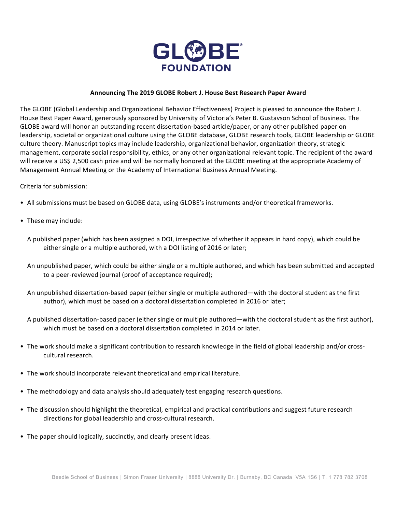

## **Announcing The 2019 GLOBE Robert J. House Best Research Paper Award**

The GLOBE (Global Leadership and Organizational Behavior Effectiveness) Project is pleased to announce the Robert J. House Best Paper Award, generously sponsored by University of Victoria's Peter B. Gustavson School of Business. The GLOBE award will honor an outstanding recent dissertation-based article/paper, or any other published paper on leadership, societal or organizational culture using the GLOBE database, GLOBE research tools, GLOBE leadership or GLOBE culture theory. Manuscript topics may include leadership, organizational behavior, organization theory, strategic management, corporate social responsibility, ethics, or any other organizational relevant topic. The recipient of the award will receive a US\$ 2,500 cash prize and will be normally honored at the GLOBE meeting at the appropriate Academy of Management Annual Meeting or the Academy of International Business Annual Meeting.

## Criteria for submission:

- All submissions must be based on GLOBE data, using GLOBE's instruments and/or theoretical frameworks.
- These may include:
	- A published paper (which has been assigned a DOI, irrespective of whether it appears in hard copy), which could be either single or a multiple authored, with a DOI listing of 2016 or later;
	- An unpublished paper, which could be either single or a multiple authored, and which has been submitted and accepted to a peer-reviewed journal (proof of acceptance required);
	- An unpublished dissertation-based paper (either single or multiple authored—with the doctoral student as the first author), which must be based on a doctoral dissertation completed in 2016 or later;
	- A published dissertation-based paper (either single or multiple authored—with the doctoral student as the first author), which must be based on a doctoral dissertation completed in 2014 or later.
- The work should make a significant contribution to research knowledge in the field of global leadership and/or crosscultural research.
- The work should incorporate relevant theoretical and empirical literature.
- The methodology and data analysis should adequately test engaging research questions.
- The discussion should highlight the theoretical, empirical and practical contributions and suggest future research directions for global leadership and cross-cultural research.
- The paper should logically, succinctly, and clearly present ideas.